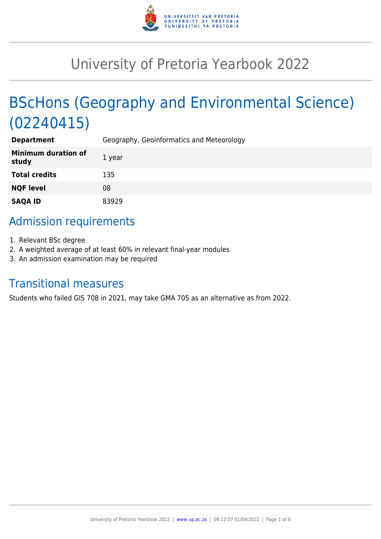

# University of Pretoria Yearbook 2022

# BScHons (Geography and Environmental Science) (02240415)

| <b>Department</b>                   | Geography, Geoinformatics and Meteorology |
|-------------------------------------|-------------------------------------------|
| <b>Minimum duration of</b><br>study | 1 year                                    |
| <b>Total credits</b>                | 135                                       |
| <b>NQF level</b>                    | 08                                        |
| <b>SAQA ID</b>                      | 83929                                     |

# Admission requirements

- 1. Relevant BSc degree
- 2. A weighted average of at least 60% in relevant final-year modules
- 3. An admission examination may be required

# Transitional measures

Students who failed GIS 708 in 2021, may take GMA 705 as an alternative as from 2022.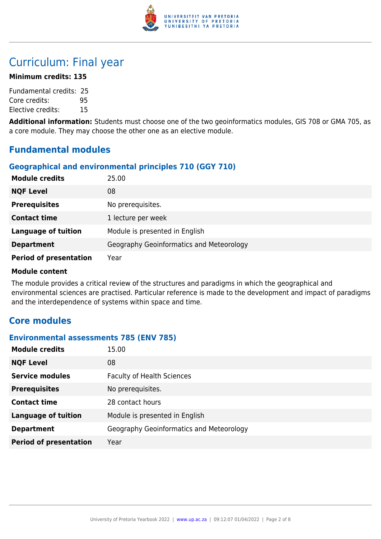

# Curriculum: Final year

#### **Minimum credits: 135**

Fundamental credits: 25 Core credits: 95 Elective credits: 15

**Additional information:** Students must choose one of the two geoinformatics modules, GIS 708 or GMA 705, as a core module. They may choose the other one as an elective module.

# **Fundamental modules**

# **Geographical and environmental principles 710 (GGY 710)**

| <b>Module credits</b>         | 25.00                                    |
|-------------------------------|------------------------------------------|
| <b>NQF Level</b>              | 08                                       |
| <b>Prerequisites</b>          | No prerequisites.                        |
| <b>Contact time</b>           | 1 lecture per week                       |
| <b>Language of tuition</b>    | Module is presented in English           |
| <b>Department</b>             | Geography Geoinformatics and Meteorology |
| <b>Period of presentation</b> | Year                                     |

#### **Module content**

The module provides a critical review of the structures and paradigms in which the geographical and environmental sciences are practised. Particular reference is made to the development and impact of paradigms and the interdependence of systems within space and time.

# **Core modules**

#### **Environmental assessments 785 (ENV 785)**

| <b>Module credits</b>         | 15.00                                    |
|-------------------------------|------------------------------------------|
| <b>NQF Level</b>              | 08                                       |
| <b>Service modules</b>        | <b>Faculty of Health Sciences</b>        |
| <b>Prerequisites</b>          | No prerequisites.                        |
| <b>Contact time</b>           | 28 contact hours                         |
| <b>Language of tuition</b>    | Module is presented in English           |
| <b>Department</b>             | Geography Geoinformatics and Meteorology |
| <b>Period of presentation</b> | Year                                     |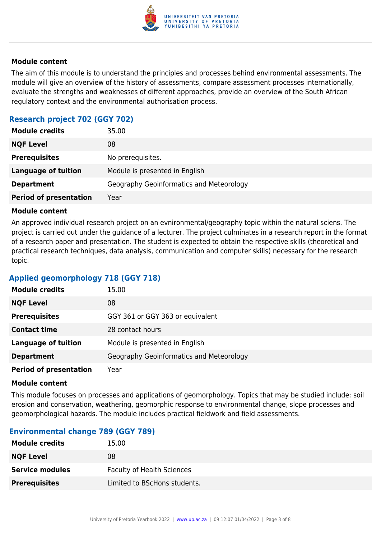

The aim of this module is to understand the principles and processes behind environmental assessments. The module will give an overview of the history of assessments, compare assessment processes internationally, evaluate the strengths and weaknesses of different approaches, provide an overview of the South African regulatory context and the environmental authorisation process.

# **Research project 702 (GGY 702)**

| <b>Module credits</b>         | 35.00                                    |
|-------------------------------|------------------------------------------|
| <b>NQF Level</b>              | 08                                       |
| <b>Prerequisites</b>          | No prerequisites.                        |
| <b>Language of tuition</b>    | Module is presented in English           |
| <b>Department</b>             | Geography Geoinformatics and Meteorology |
| <b>Period of presentation</b> | Year                                     |

#### **Module content**

An approved individual research project on an evnironmental/geography topic within the natural sciens. The project is carried out under the guidance of a lecturer. The project culminates in a research report in the format of a research paper and presentation. The student is expected to obtain the respective skills (theoretical and practical research techniques, data analysis, communication and computer skills) necessary for the research topic.

# **Applied geomorphology 718 (GGY 718)**

| <b>Module credits</b>         | 15.00                                    |
|-------------------------------|------------------------------------------|
| <b>NQF Level</b>              | 08                                       |
| <b>Prerequisites</b>          | GGY 361 or GGY 363 or equivalent         |
| <b>Contact time</b>           | 28 contact hours                         |
| <b>Language of tuition</b>    | Module is presented in English           |
| <b>Department</b>             | Geography Geoinformatics and Meteorology |
| <b>Period of presentation</b> | Year                                     |

#### **Module content**

This module focuses on processes and applications of geomorphology. Topics that may be studied include: soil erosion and conservation, weathering, geomorphic response to environmental change, slope processes and geomorphological hazards. The module includes practical fieldwork and field assessments.

#### **Environmental change 789 (GGY 789)**

| <b>Module credits</b>  | 15.00                             |
|------------------------|-----------------------------------|
| <b>NQF Level</b>       | 08                                |
| <b>Service modules</b> | <b>Faculty of Health Sciences</b> |
| <b>Prerequisites</b>   | Limited to BScHons students.      |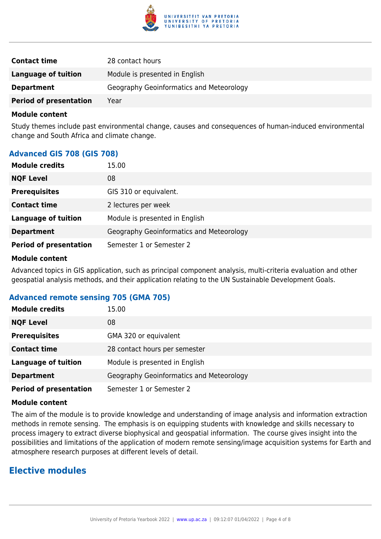

| <b>Contact time</b>           | 28 contact hours                         |
|-------------------------------|------------------------------------------|
| Language of tuition           | Module is presented in English           |
| <b>Department</b>             | Geography Geoinformatics and Meteorology |
| <b>Period of presentation</b> | Year                                     |

Study themes include past environmental change, causes and consequences of human-induced environmental change and South Africa and climate change.

#### **Advanced GIS 708 (GIS 708)**

| <b>Module credits</b>         | 15.00                                    |
|-------------------------------|------------------------------------------|
| <b>NQF Level</b>              | 08                                       |
| <b>Prerequisites</b>          | GIS 310 or equivalent.                   |
| <b>Contact time</b>           | 2 lectures per week                      |
| <b>Language of tuition</b>    | Module is presented in English           |
| <b>Department</b>             | Geography Geoinformatics and Meteorology |
| <b>Period of presentation</b> | Semester 1 or Semester 2                 |

#### **Module content**

Advanced topics in GIS application, such as principal component analysis, multi-criteria evaluation and other geospatial analysis methods, and their application relating to the UN Sustainable Development Goals.

#### **Advanced remote sensing 705 (GMA 705)**

| <b>Module credits</b>         | 15.00                                    |
|-------------------------------|------------------------------------------|
| <b>NQF Level</b>              | 08                                       |
| <b>Prerequisites</b>          | GMA 320 or equivalent                    |
| <b>Contact time</b>           | 28 contact hours per semester            |
| <b>Language of tuition</b>    | Module is presented in English           |
| <b>Department</b>             | Geography Geoinformatics and Meteorology |
| <b>Period of presentation</b> | Semester 1 or Semester 2                 |

#### **Module content**

The aim of the module is to provide knowledge and understanding of image analysis and information extraction methods in remote sensing. The emphasis is on equipping students with knowledge and skills necessary to process imagery to extract diverse biophysical and geospatial information. The course gives insight into the possibilities and limitations of the application of modern remote sensing/image acquisition systems for Earth and atmosphere research purposes at different levels of detail.

# **Elective modules**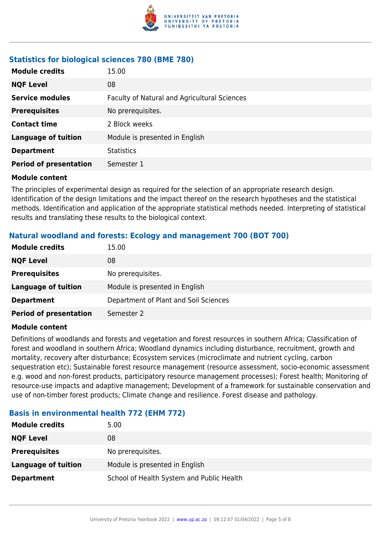

# **Statistics for biological sciences 780 (BME 780)**

| <b>Module credits</b>         | 15.00                                        |
|-------------------------------|----------------------------------------------|
| <b>NQF Level</b>              | 08                                           |
| <b>Service modules</b>        | Faculty of Natural and Agricultural Sciences |
| <b>Prerequisites</b>          | No prerequisites.                            |
| <b>Contact time</b>           | 2 Block weeks                                |
| <b>Language of tuition</b>    | Module is presented in English               |
| <b>Department</b>             | <b>Statistics</b>                            |
| <b>Period of presentation</b> | Semester 1                                   |

#### **Module content**

The principles of experimental design as required for the selection of an appropriate research design. Identification of the design limitations and the impact thereof on the research hypotheses and the statistical methods. Identification and application of the appropriate statistical methods needed. Interpreting of statistical results and translating these results to the biological context.

# **Natural woodland and forests: Ecology and management 700 (BOT 700)**

| <b>Module credits</b>         | 15.00                                 |
|-------------------------------|---------------------------------------|
| <b>NQF Level</b>              | 08                                    |
| <b>Prerequisites</b>          | No prerequisites.                     |
| <b>Language of tuition</b>    | Module is presented in English        |
| <b>Department</b>             | Department of Plant and Soil Sciences |
| <b>Period of presentation</b> | Semester 2                            |

#### **Module content**

Definitions of woodlands and forests and vegetation and forest resources in southern Africa; Classification of forest and woodland in southern Africa; Woodland dynamics including disturbance, recruitment, growth and mortality, recovery after disturbance; Ecosystem services (microclimate and nutrient cycling, carbon sequestration etc); Sustainable forest resource management (resource assessment, socio-economic assessment e.g. wood and non-forest products, participatory resource management processes); Forest health; Monitoring of resource-use impacts and adaptive management; Development of a framework for sustainable conservation and use of non-timber forest products; Climate change and resilience. Forest disease and pathology.

# **Basis in environmental health 772 (EHM 772)**

| <b>Module credits</b> | 5.00                                      |
|-----------------------|-------------------------------------------|
| <b>NQF Level</b>      | 08                                        |
| <b>Prerequisites</b>  | No prerequisites.                         |
| Language of tuition   | Module is presented in English            |
| <b>Department</b>     | School of Health System and Public Health |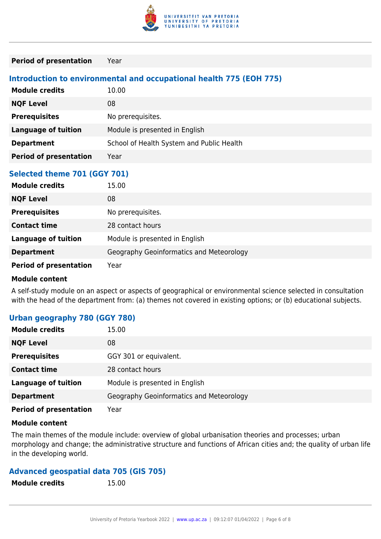

#### **Period of presentation** Year

# **Introduction to environmental and occupational health 775 (EOH 775)**

| <b>Module credits</b>         | 10.00                                     |
|-------------------------------|-------------------------------------------|
| <b>NQF Level</b>              | 08                                        |
| <b>Prerequisites</b>          | No prerequisites.                         |
| Language of tuition           | Module is presented in English            |
| <b>Department</b>             | School of Health System and Public Health |
| <b>Period of presentation</b> | Year                                      |

#### **Selected theme 701 (GGY 701)**

| <b>Module credits</b>         | 15.00                                    |
|-------------------------------|------------------------------------------|
| <b>NQF Level</b>              | 08                                       |
| <b>Prerequisites</b>          | No prerequisites.                        |
| <b>Contact time</b>           | 28 contact hours                         |
| <b>Language of tuition</b>    | Module is presented in English           |
| <b>Department</b>             | Geography Geoinformatics and Meteorology |
| <b>Period of presentation</b> | Year                                     |

#### **Module content**

A self-study module on an aspect or aspects of geographical or environmental science selected in consultation with the head of the department from: (a) themes not covered in existing options; or (b) educational subjects.

#### **Urban geography 780 (GGY 780)**

| <b>Module credits</b>         | 15.00                                    |
|-------------------------------|------------------------------------------|
| <b>NQF Level</b>              | 08                                       |
| <b>Prerequisites</b>          | GGY 301 or equivalent.                   |
| <b>Contact time</b>           | 28 contact hours                         |
| <b>Language of tuition</b>    | Module is presented in English           |
| <b>Department</b>             | Geography Geoinformatics and Meteorology |
| <b>Period of presentation</b> | Year                                     |

#### **Module content**

The main themes of the module include: overview of global urbanisation theories and processes; urban morphology and change; the administrative structure and functions of African cities and; the quality of urban life in the developing world.

# **Advanced geospatial data 705 (GIS 705)**

| <b>Module credits</b> | 15.00 |
|-----------------------|-------|
|                       |       |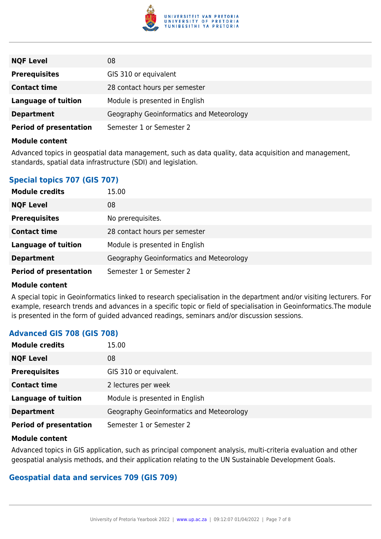

| <b>NQF Level</b>              | 08                                       |
|-------------------------------|------------------------------------------|
| <b>Prerequisites</b>          | GIS 310 or equivalent                    |
| <b>Contact time</b>           | 28 contact hours per semester            |
| <b>Language of tuition</b>    | Module is presented in English           |
| <b>Department</b>             | Geography Geoinformatics and Meteorology |
| <b>Period of presentation</b> | Semester 1 or Semester 2                 |

Advanced topics in geospatial data management, such as data quality, data acquisition and management, standards, spatial data infrastructure (SDI) and legislation.

# **Special topics 707 (GIS 707)**

| <b>Module credits</b>         | 15.00                                    |
|-------------------------------|------------------------------------------|
| <b>NQF Level</b>              | 08                                       |
| <b>Prerequisites</b>          | No prerequisites.                        |
| <b>Contact time</b>           | 28 contact hours per semester            |
| <b>Language of tuition</b>    | Module is presented in English           |
| <b>Department</b>             | Geography Geoinformatics and Meteorology |
| <b>Period of presentation</b> | Semester 1 or Semester 2                 |

#### **Module content**

A special topic in Geoinformatics linked to research specialisation in the department and/or visiting lecturers. For example, research trends and advances in a specific topic or field of specialisation in Geoinformatics.The module is presented in the form of guided advanced readings, seminars and/or discussion sessions.

# **Advanced GIS 708 (GIS 708)**

| <b>Module credits</b>         | 15.00                                    |
|-------------------------------|------------------------------------------|
| <b>NQF Level</b>              | 08                                       |
| <b>Prerequisites</b>          | GIS 310 or equivalent.                   |
| <b>Contact time</b>           | 2 lectures per week                      |
| <b>Language of tuition</b>    | Module is presented in English           |
| <b>Department</b>             | Geography Geoinformatics and Meteorology |
| <b>Period of presentation</b> | Semester 1 or Semester 2                 |

#### **Module content**

Advanced topics in GIS application, such as principal component analysis, multi-criteria evaluation and other geospatial analysis methods, and their application relating to the UN Sustainable Development Goals.

# **Geospatial data and services 709 (GIS 709)**